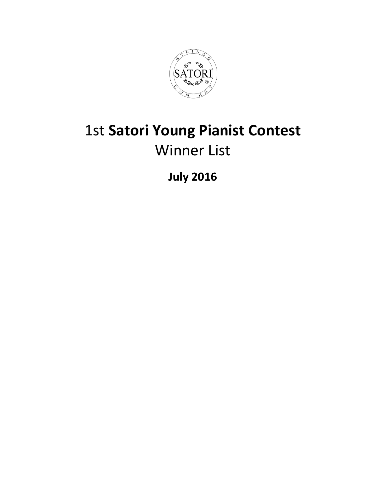

## 1st **Satori Young Pianist Contest** Winner List

**July 2016**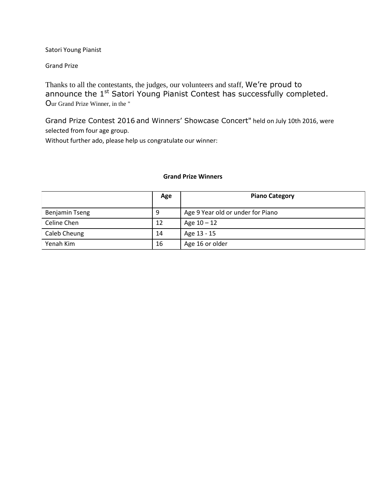Satori Young Pianist

Grand Prize

Thanks to all the contestants, the judges, our volunteers and staff, We're proud to announce the 1<sup>st</sup> Satori Young Pianist Contest has successfully completed. Our Grand Prize Winner, in the "

Grand Prize Contest 2016 and Winners' Showcase Concert" held on July 10th 2016, were selected from four age group.

Without further ado, please help us congratulate our winner:

## **Grand Prize Winners**

|                       | Age | <b>Piano Category</b>             |
|-----------------------|-----|-----------------------------------|
| <b>Benjamin Tseng</b> | 9   | Age 9 Year old or under for Piano |
| Celine Chen           | 12  | Age $10 - 12$                     |
| Caleb Cheung          | 14  | Age 13 - 15                       |
| Yenah Kim             | 16  | Age 16 or older                   |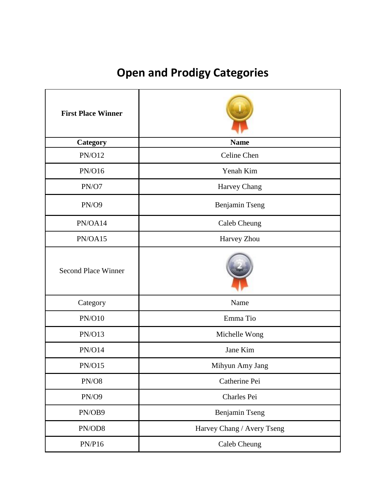## **Open and Prodigy Categories**

| <b>First Place Winner</b>  |                            |
|----------------------------|----------------------------|
| Category                   | <b>Name</b>                |
| <b>PN/O12</b>              | Celine Chen                |
| PN/O16                     | Yenah Kim                  |
| PN/O7                      | Harvey Chang               |
| <b>PN/O9</b>               | Benjamin Tseng             |
| PN/OA14                    | Caleb Cheung               |
| PN/OA15                    | Harvey Zhou                |
| <b>Second Place Winner</b> |                            |
| Category                   | Name                       |
| <b>PN/O10</b>              | Emma Tio                   |
| <b>PN/O13</b>              | Michelle Wong              |
| <b>PN/O14</b>              | Jane Kim                   |
| <b>PN/O15</b>              | Mihyun Amy Jang            |
| $\text{PN/O8}$             | Catherine Pei              |
| PN/O9                      | Charles Pei                |
| PN/OB9                     | Benjamin Tseng             |
| PN/OD8                     | Harvey Chang / Avery Tseng |
| PN/P16                     | Caleb Cheung               |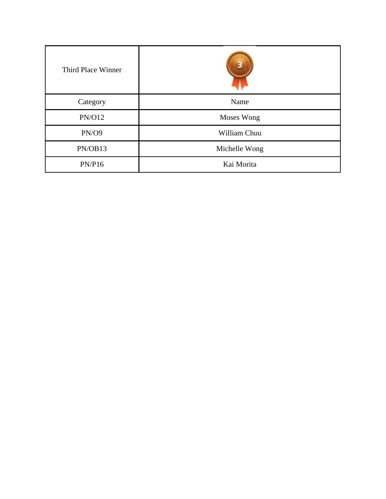| Third Place Winner |               |
|--------------------|---------------|
| Category           | Name          |
| <b>PN/O12</b>      | Moses Wong    |
| PN/O9              | William Chuu  |
| PN/OB13            | Michelle Wong |
| PN/P16             | Kai Morita    |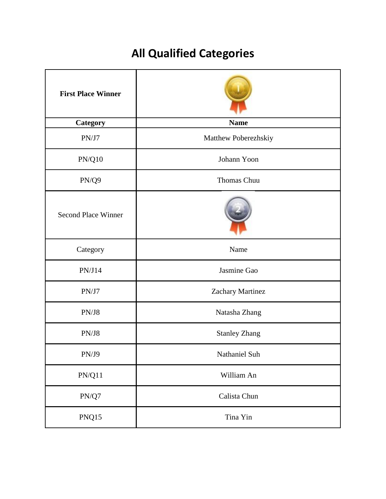## **All Qualified Categories**

| <b>First Place Winner</b>  |                      |
|----------------------------|----------------------|
| Category                   | <b>Name</b>          |
| PN/J7                      | Matthew Poberezhskiy |
| $\text{PN}/\text{Q}10$     | Johann Yoon          |
| PN/Q9                      | Thomas Chuu          |
| <b>Second Place Winner</b> |                      |
| Category                   | Name                 |
| PN/J14                     | Jasmine Gao          |
| PN/J7                      | Zachary Martinez     |
| PN/J8                      | Natasha Zhang        |
| PN/J8                      | <b>Stanley Zhang</b> |
| PN/J9                      | Nathaniel Suh        |
| PN/Q11                     | William An           |
| $\text{PN}/\text{Q7}$      | Calista Chun         |
| PNQ15                      | Tina Yin             |